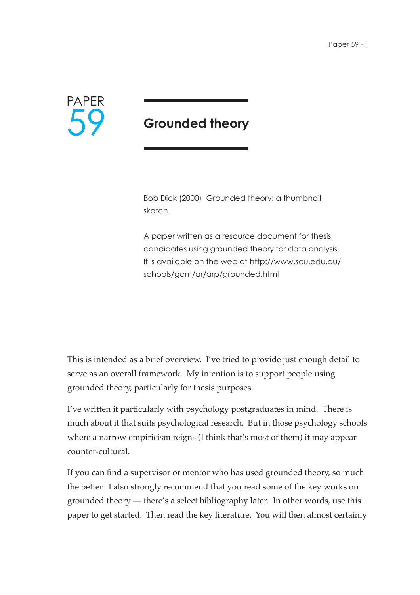

# **Grounded theory**

Bob Dick (2000) Grounded theory: a thumbnail sketch.

A paper written as a resource document for thesis candidates using grounded theory for data analysis. It is available on the web at http://www.scu.edu.au/ schools/gcm/ar/arp/grounded.html

This is intended as a brief overview. I've tried to provide just enough detail to serve as an overall framework. My intention is to support people using grounded theory, particularly for thesis purposes.

I've written it particularly with psychology postgraduates in mind. There is much about it that suits psychological research. But in those psychology schools where a narrow empiricism reigns (I think that's most of them) it may appear counter-cultural.

If you can find a supervisor or mentor who has used grounded theory, so much the better. I also strongly recommend that you read some of the key works on grounded theory — there's a select bibliography later. In other words, use this paper to get started. Then read the key literature. You will then almost certainly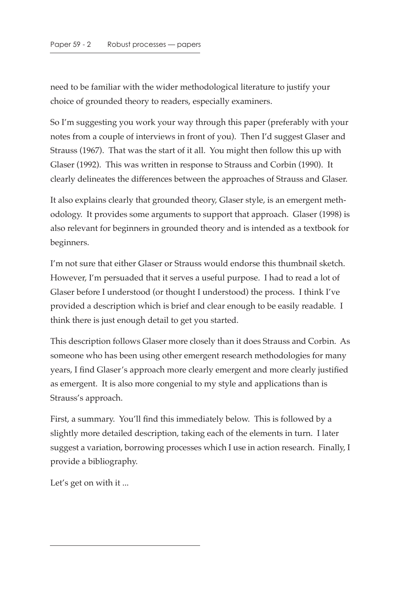need to be familiar with the wider methodological literature to justify your choice of grounded theory to readers, especially examiners.

So I'm suggesting you work your way through this paper (preferably with your notes from a couple of interviews in front of you). Then I'd suggest Glaser and Strauss (1967). That was the start of it all. You might then follow this up with Glaser (1992). This was written in response to Strauss and Corbin (1990). It clearly delineates the differences between the approaches of Strauss and Glaser.

It also explains clearly that grounded theory, Glaser style, is an emergent methodology. It provides some arguments to support that approach. Glaser (1998) is also relevant for beginners in grounded theory and is intended as a textbook for beginners.

I'm not sure that either Glaser or Strauss would endorse this thumbnail sketch. However, I'm persuaded that it serves a useful purpose. I had to read a lot of Glaser before I understood (or thought I understood) the process. I think I've provided a description which is brief and clear enough to be easily readable. I think there is just enough detail to get you started.

This description follows Glaser more closely than it does Strauss and Corbin. As someone who has been using other emergent research methodologies for many years, I find Glaser's approach more clearly emergent and more clearly justified as emergent. It is also more congenial to my style and applications than is Strauss's approach.

First, a summary. You'll find this immediately below. This is followed by a slightly more detailed description, taking each of the elements in turn. I later suggest a variation, borrowing processes which I use in action research. Finally, I provide a bibliography.

Let's get on with it ...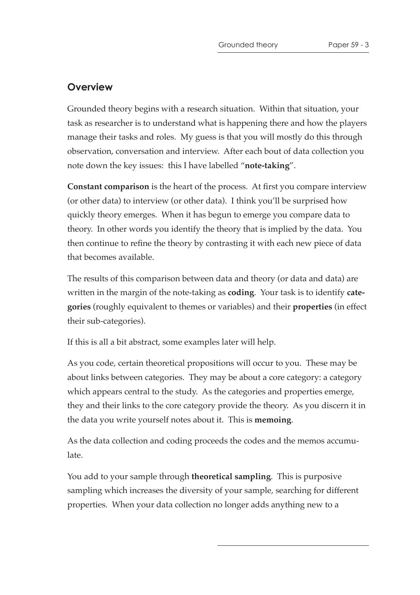# **Overview**

Grounded theory begins with a research situation. Within that situation, your task as researcher is to understand what is happening there and how the players manage their tasks and roles. My guess is that you will mostly do this through observation, conversation and interview. After each bout of data collection you note down the key issues: this I have labelled "**note-taking**".

**Constant comparison** is the heart of the process. At first you compare interview (or other data) to interview (or other data). I think you'll be surprised how quickly theory emerges. When it has begun to emerge you compare data to theory. In other words you identify the theory that is implied by the data. You then continue to refine the theory by contrasting it with each new piece of data that becomes available.

The results of this comparison between data and theory (or data and data) are written in the margin of the note-taking as **coding**. Your task is to identify **categories** (roughly equivalent to themes or variables) and their **properties** (in effect their sub-categories).

If this is all a bit abstract, some examples later will help.

As you code, certain theoretical propositions will occur to you. These may be about links between categories. They may be about a core category: a category which appears central to the study. As the categories and properties emerge, they and their links to the core category provide the theory. As you discern it in the data you write yourself notes about it. This is **memoing**.

As the data collection and coding proceeds the codes and the memos accumulate.

You add to your sample through **theoretical sampling**. This is purposive sampling which increases the diversity of your sample, searching for different properties. When your data collection no longer adds anything new to a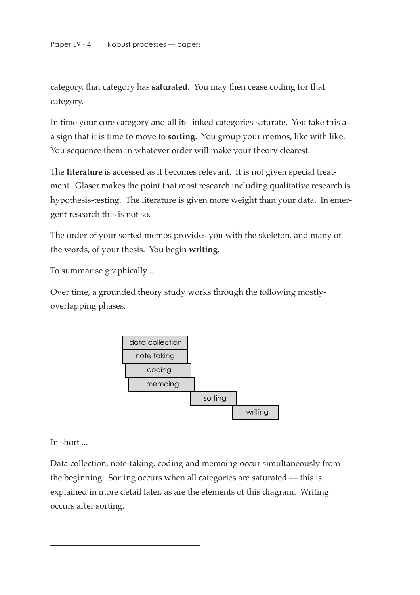category, that category has **saturated**. You may then cease coding for that category.

In time your core category and all its linked categories saturate. You take this as a sign that it is time to move to **sorting**. You group your memos, like with like. You sequence them in whatever order will make your theory clearest.

The **literature** is accessed as it becomes relevant. It is not given special treatment. Glaser makes the point that most research including qualitative research is hypothesis-testing. The literature is given more weight than your data. In emergent research this is not so.

The order of your sorted memos provides you with the skeleton, and many of the words, of your thesis. You begin **writing**.

To summarise graphically ...

Over time, a grounded theory study works through the following mostlyoverlapping phases.



In short ...

Data collection, note-taking, coding and memoing occur simultaneously from the beginning. Sorting occurs when all categories are saturated — this is explained in more detail later, as are the elements of this diagram. Writing occurs after sorting.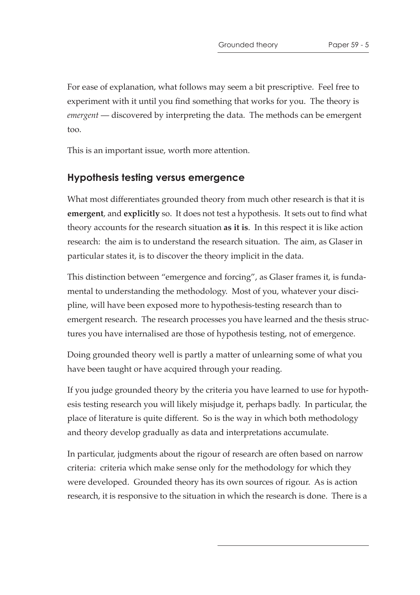For ease of explanation, what follows may seem a bit prescriptive. Feel free to experiment with it until you find something that works for you. The theory is *emergent* — discovered by interpreting the data. The methods can be emergent too.

This is an important issue, worth more attention.

### **Hypothesis testing versus emergence**

What most differentiates grounded theory from much other research is that it is **emergent**, and **explicitly** so. It does not test a hypothesis. It sets out to find what theory accounts for the research situation **as it is**. In this respect it is like action research: the aim is to understand the research situation. The aim, as Glaser in particular states it, is to discover the theory implicit in the data.

This distinction between "emergence and forcing", as Glaser frames it, is fundamental to understanding the methodology. Most of you, whatever your discipline, will have been exposed more to hypothesis-testing research than to emergent research. The research processes you have learned and the thesis structures you have internalised are those of hypothesis testing, not of emergence.

Doing grounded theory well is partly a matter of unlearning some of what you have been taught or have acquired through your reading.

If you judge grounded theory by the criteria you have learned to use for hypothesis testing research you will likely misjudge it, perhaps badly. In particular, the place of literature is quite different. So is the way in which both methodology and theory develop gradually as data and interpretations accumulate.

In particular, judgments about the rigour of research are often based on narrow criteria: criteria which make sense only for the methodology for which they were developed. Grounded theory has its own sources of rigour. As is action research, it is responsive to the situation in which the research is done. There is a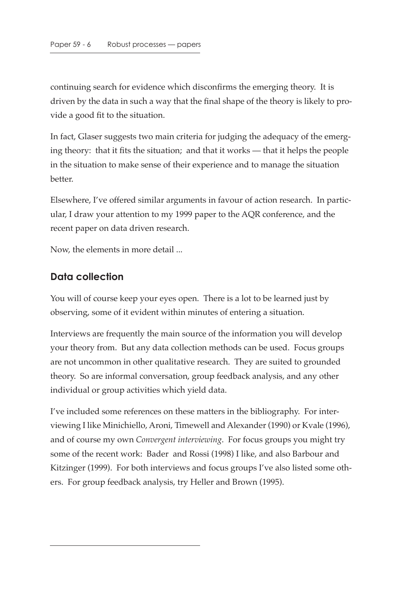continuing search for evidence which disconfirms the emerging theory. It is driven by the data in such a way that the final shape of the theory is likely to provide a good fit to the situation.

In fact, Glaser suggests two main criteria for judging the adequacy of the emerging theory: that it fits the situation; and that it works — that it helps the people in the situation to make sense of their experience and to manage the situation better.

Elsewhere, I've offered similar arguments in favour of action research. In particular, I draw your attention to my 1999 paper to the AQR conference, and the recent paper on data driven research.

Now, the elements in more detail ...

# **Data collection**

You will of course keep your eyes open. There is a lot to be learned just by observing, some of it evident within minutes of entering a situation.

Interviews are frequently the main source of the information you will develop your theory from. But any data collection methods can be used. Focus groups are not uncommon in other qualitative research. They are suited to grounded theory. So are informal conversation, group feedback analysis, and any other individual or group activities which yield data.

I've included some references on these matters in the bibliography. For interviewing I like Minichiello, Aroni, Timewell and Alexander (1990) or Kvale (1996), and of course my own *Convergent interviewing*. For focus groups you might try some of the recent work: Bader and Rossi (1998) I like, and also Barbour and Kitzinger (1999). For both interviews and focus groups I've also listed some others. For group feedback analysis, try Heller and Brown (1995).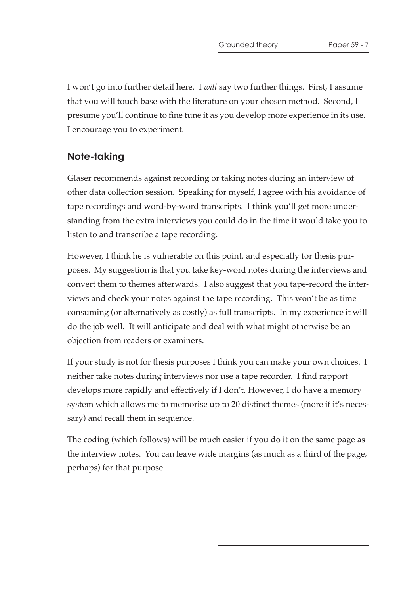I won't go into further detail here. I *will* say two further things. First, I assume that you will touch base with the literature on your chosen method. Second, I presume you'll continue to fine tune it as you develop more experience in its use. I encourage you to experiment.

# **Note-taking**

Glaser recommends against recording or taking notes during an interview of other data collection session. Speaking for myself, I agree with his avoidance of tape recordings and word-by-word transcripts. I think you'll get more understanding from the extra interviews you could do in the time it would take you to listen to and transcribe a tape recording.

However, I think he is vulnerable on this point, and especially for thesis purposes. My suggestion is that you take key-word notes during the interviews and convert them to themes afterwards. I also suggest that you tape-record the interviews and check your notes against the tape recording. This won't be as time consuming (or alternatively as costly) as full transcripts. In my experience it will do the job well. It will anticipate and deal with what might otherwise be an objection from readers or examiners.

If your study is not for thesis purposes I think you can make your own choices. I neither take notes during interviews nor use a tape recorder. I find rapport develops more rapidly and effectively if I don't. However, I do have a memory system which allows me to memorise up to 20 distinct themes (more if it's necessary) and recall them in sequence.

The coding (which follows) will be much easier if you do it on the same page as the interview notes. You can leave wide margins (as much as a third of the page, perhaps) for that purpose.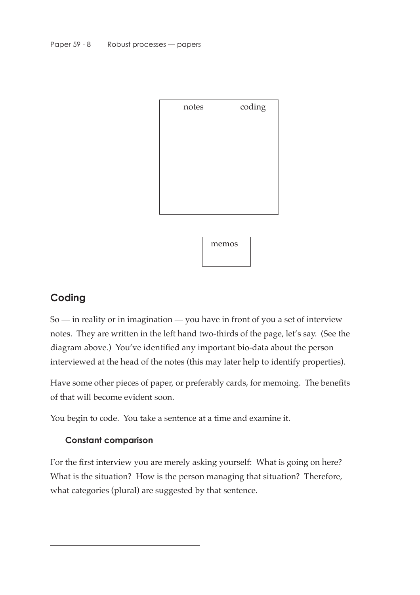| notes | coding |
|-------|--------|
|       |        |
|       |        |
|       |        |
|       |        |
|       |        |
|       |        |



# **Coding**

So — in reality or in imagination — you have in front of you a set of interview notes. They are written in the left hand two-thirds of the page, let's say. (See the diagram above.) You've identified any important bio-data about the person interviewed at the head of the notes (this may later help to identify properties).

Have some other pieces of paper, or preferably cards, for memoing. The benefits of that will become evident soon.

You begin to code. You take a sentence at a time and examine it.

### **Constant comparison**

For the first interview you are merely asking yourself: What is going on here? What is the situation? How is the person managing that situation? Therefore, what categories (plural) are suggested by that sentence.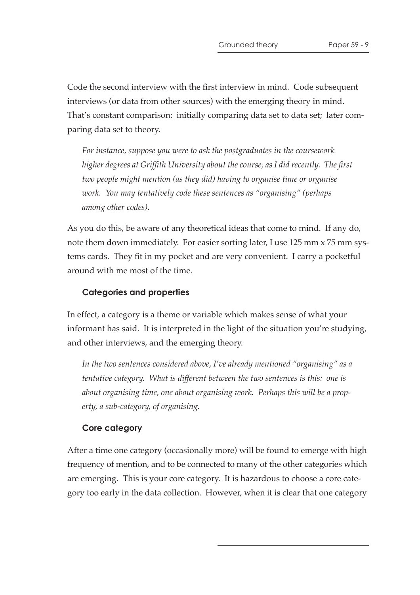Code the second interview with the first interview in mind. Code subsequent interviews (or data from other sources) with the emerging theory in mind. That's constant comparison: initially comparing data set to data set; later comparing data set to theory.

*For instance, suppose you were to ask the postgraduates in the coursework higher degrees at Griffith University about the course, as I did recently. The first two people might mention (as they did) having to organise time or organise work. You may tentatively code these sentences as "organising" (perhaps among other codes).*

As you do this, be aware of any theoretical ideas that come to mind. If any do, note them down immediately. For easier sorting later, I use 125 mm x 75 mm systems cards. They fit in my pocket and are very convenient. I carry a pocketful around with me most of the time.

#### **Categories and properties**

In effect, a category is a theme or variable which makes sense of what your informant has said. It is interpreted in the light of the situation you're studying, and other interviews, and the emerging theory.

*In the two sentences considered above, I've already mentioned "organising" as a tentative category.* What is different between the two sentences is this: one is *about organising time, one about organising work. Perhaps this will be a property, a sub-category, of organising.*

#### **Core category**

After a time one category (occasionally more) will be found to emerge with high frequency of mention, and to be connected to many of the other categories which are emerging. This is your core category. It is hazardous to choose a core category too early in the data collection. However, when it is clear that one category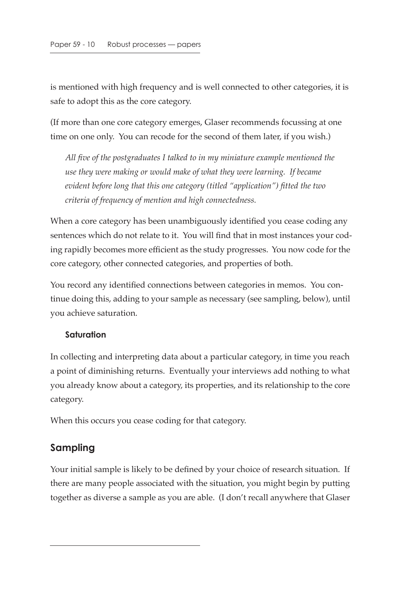is mentioned with high frequency and is well connected to other categories, it is safe to adopt this as the core category.

(If more than one core category emerges, Glaser recommends focussing at one time on one only. You can recode for the second of them later, if you wish.)

*All five of the postgraduates I talked to in my miniature example mentioned the use they were making or would make of what they were learning. If became evident before long that this one category (titled "application") fitted the two criteria of frequency of mention and high connectedness.*

When a core category has been unambiguously identified you cease coding any sentences which do not relate to it. You will find that in most instances your coding rapidly becomes more efficient as the study progresses. You now code for the core category, other connected categories, and properties of both.

You record any identified connections between categories in memos. You continue doing this, adding to your sample as necessary (see sampling, below), until you achieve saturation.

#### **Saturation**

In collecting and interpreting data about a particular category, in time you reach a point of diminishing returns. Eventually your interviews add nothing to what you already know about a category, its properties, and its relationship to the core category.

When this occurs you cease coding for that category.

# **Sampling**

Your initial sample is likely to be defined by your choice of research situation. If there are many people associated with the situation, you might begin by putting together as diverse a sample as you are able. (I don't recall anywhere that Glaser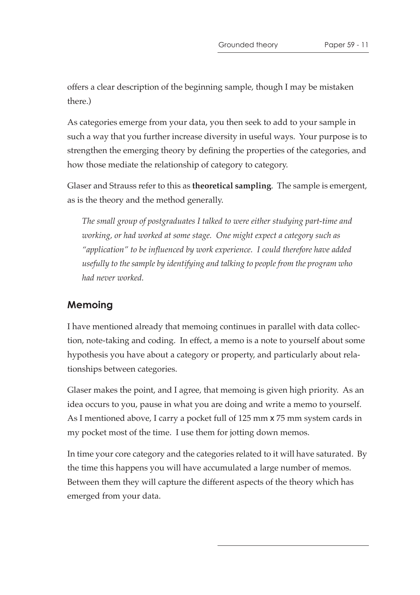offers a clear description of the beginning sample, though I may be mistaken there.)

As categories emerge from your data, you then seek to add to your sample in such a way that you further increase diversity in useful ways. Your purpose is to strengthen the emerging theory by defining the properties of the categories, and how those mediate the relationship of category to category.

Glaser and Strauss refer to this as **theoretical sampling**. The sample is emergent, as is the theory and the method generally.

*The small group of postgraduates I talked to were either studying part-time and working, or had worked at some stage. One might expect a category such as "application" to be influenced by work experience. I could therefore have added usefully to the sample by identifying and talking to people from the program who had never worked.*

### **Memoing**

I have mentioned already that memoing continues in parallel with data collection, note-taking and coding. In effect, a memo is a note to yourself about some hypothesis you have about a category or property, and particularly about relationships between categories.

Glaser makes the point, and I agree, that memoing is given high priority. As an idea occurs to you, pause in what you are doing and write a memo to yourself. As I mentioned above, I carry a pocket full of 125 mm x 75 mm system cards in my pocket most of the time. I use them for jotting down memos.

In time your core category and the categories related to it will have saturated. By the time this happens you will have accumulated a large number of memos. Between them they will capture the different aspects of the theory which has emerged from your data.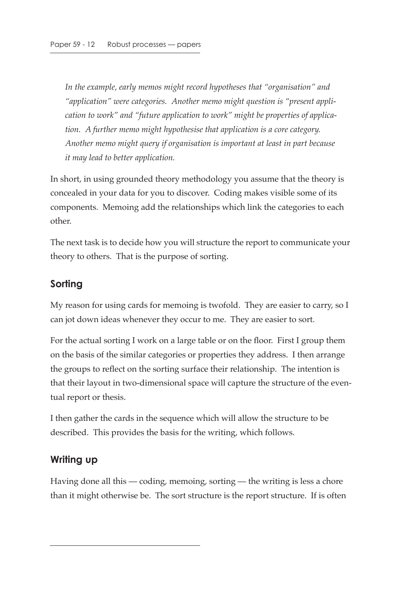*In the example, early memos might record hypotheses that "organisation" and "application" were categories. Another memo might question is "present application to work" and "future application to work" might be properties of application. A further memo might hypothesise that application is a core category. Another memo might query if organisation is important at least in part because it may lead to better application.*

In short, in using grounded theory methodology you assume that the theory is concealed in your data for you to discover. Coding makes visible some of its components. Memoing add the relationships which link the categories to each other.

The next task is to decide how you will structure the report to communicate your theory to others. That is the purpose of sorting.

# **Sorting**

My reason for using cards for memoing is twofold. They are easier to carry, so I can jot down ideas whenever they occur to me. They are easier to sort.

For the actual sorting I work on a large table or on the floor. First I group them on the basis of the similar categories or properties they address. I then arrange the groups to reflect on the sorting surface their relationship. The intention is that their layout in two-dimensional space will capture the structure of the eventual report or thesis.

I then gather the cards in the sequence which will allow the structure to be described. This provides the basis for the writing, which follows.

# **Writing up**

Having done all this — coding, memoing, sorting — the writing is less a chore than it might otherwise be. The sort structure is the report structure. If is often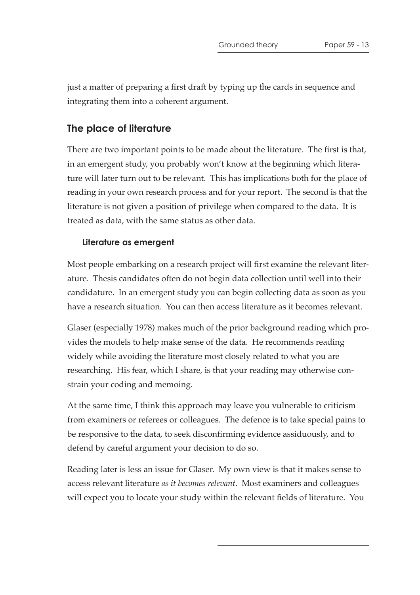just a matter of preparing a first draft by typing up the cards in sequence and integrating them into a coherent argument.

# **The place of literature**

There are two important points to be made about the literature. The first is that, in an emergent study, you probably won't know at the beginning which literature will later turn out to be relevant. This has implications both for the place of reading in your own research process and for your report. The second is that the literature is not given a position of privilege when compared to the data. It is treated as data, with the same status as other data.

### **Literature as emergent**

Most people embarking on a research project will first examine the relevant literature. Thesis candidates often do not begin data collection until well into their candidature. In an emergent study you can begin collecting data as soon as you have a research situation. You can then access literature as it becomes relevant.

Glaser (especially 1978) makes much of the prior background reading which provides the models to help make sense of the data. He recommends reading widely while avoiding the literature most closely related to what you are researching. His fear, which I share, is that your reading may otherwise constrain your coding and memoing.

At the same time, I think this approach may leave you vulnerable to criticism from examiners or referees or colleagues. The defence is to take special pains to be responsive to the data, to seek disconfirming evidence assiduously, and to defend by careful argument your decision to do so.

Reading later is less an issue for Glaser. My own view is that it makes sense to access relevant literature *as it becomes relevant*. Most examiners and colleagues will expect you to locate your study within the relevant fields of literature. You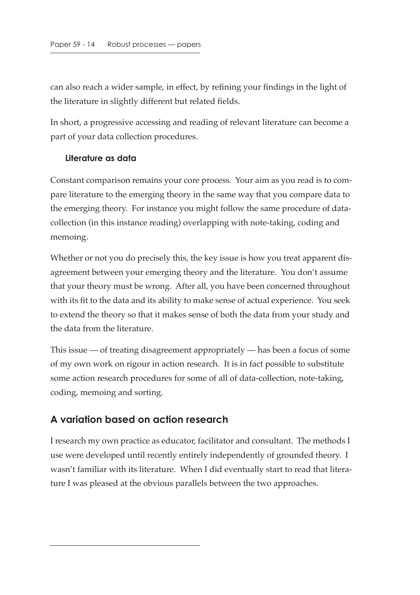can also reach a wider sample, in effect, by refining your findings in the light of the literature in slightly different but related fields.

In short, a progressive accessing and reading of relevant literature can become a part of your data collection procedures.

#### **Literature as data**

Constant comparison remains your core process. Your aim as you read is to compare literature to the emerging theory in the same way that you compare data to the emerging theory. For instance you might follow the same procedure of datacollection (in this instance reading) overlapping with note-taking, coding and memoing.

Whether or not you do precisely this, the key issue is how you treat apparent disagreement between your emerging theory and the literature. You don't assume that your theory must be wrong. After all, you have been concerned throughout with its fit to the data and its ability to make sense of actual experience. You seek to extend the theory so that it makes sense of both the data from your study and the data from the literature.

This issue — of treating disagreement appropriately — has been a focus of some of my own work on rigour in action research. It is in fact possible to substitute some action research procedures for some of all of data-collection, note-taking, coding, memoing and sorting.

# **A variation based on action research**

I research my own practice as educator, facilitator and consultant. The methods I use were developed until recently entirely independently of grounded theory. I wasn't familiar with its literature. When I did eventually start to read that literature I was pleased at the obvious parallels between the two approaches.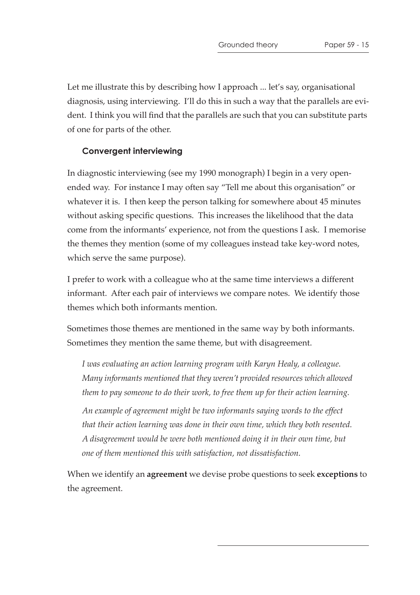Let me illustrate this by describing how I approach ... let's say, organisational diagnosis, using interviewing. I'll do this in such a way that the parallels are evident. I think you will find that the parallels are such that you can substitute parts of one for parts of the other.

#### **Convergent interviewing**

In diagnostic interviewing (see my 1990 monograph) I begin in a very openended way. For instance I may often say "Tell me about this organisation" or whatever it is. I then keep the person talking for somewhere about 45 minutes without asking specific questions. This increases the likelihood that the data come from the informants' experience, not from the questions I ask. I memorise the themes they mention (some of my colleagues instead take key-word notes, which serve the same purpose).

I prefer to work with a colleague who at the same time interviews a different informant. After each pair of interviews we compare notes. We identify those themes which both informants mention.

Sometimes those themes are mentioned in the same way by both informants. Sometimes they mention the same theme, but with disagreement.

*I was evaluating an action learning program with Karyn Healy, a colleague. Many informants mentioned that they weren't provided resources which allowed them to pay someone to do their work, to free them up for their action learning.*

*An example of agreement might be two informants saying words to the effect that their action learning was done in their own time, which they both resented. A disagreement would be were both mentioned doing it in their own time, but one of them mentioned this with satisfaction, not dissatisfaction.*

When we identify an **agreement** we devise probe questions to seek **exceptions** to the agreement.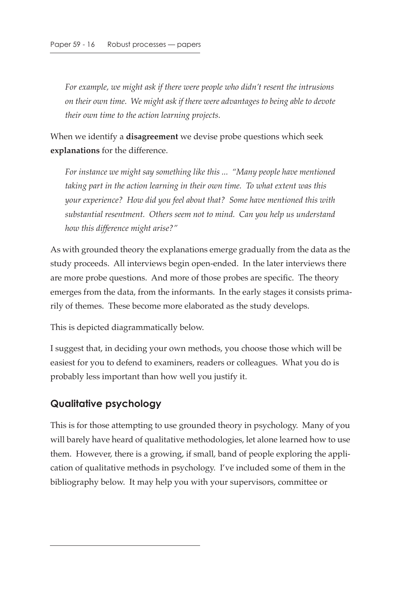*For example, we might ask if there were people who didn't resent the intrusions on their own time. We might ask if there were advantages to being able to devote their own time to the action learning projects.*

When we identify a **disagreement** we devise probe questions which seek **explanations** for the difference.

*For instance we might say something like this ... "Many people have mentioned taking part in the action learning in their own time. To what extent was this your experience? How did you feel about that? Some have mentioned this with substantial resentment. Others seem not to mind. Can you help us understand how this difference might arise?"*

As with grounded theory the explanations emerge gradually from the data as the study proceeds. All interviews begin open-ended. In the later interviews there are more probe questions. And more of those probes are specific. The theory emerges from the data, from the informants. In the early stages it consists primarily of themes. These become more elaborated as the study develops.

This is depicted diagrammatically below.

I suggest that, in deciding your own methods, you choose those which will be easiest for you to defend to examiners, readers or colleagues. What you do is probably less important than how well you justify it.

### **Qualitative psychology**

This is for those attempting to use grounded theory in psychology. Many of you will barely have heard of qualitative methodologies, let alone learned how to use them. However, there is a growing, if small, band of people exploring the application of qualitative methods in psychology. I've included some of them in the bibliography below. It may help you with your supervisors, committee or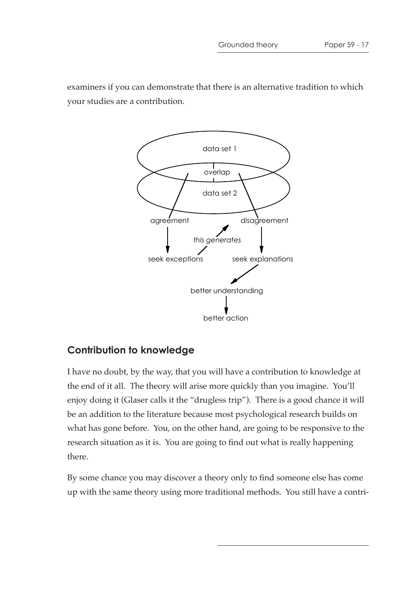examiners if you can demonstrate that there is an alternative tradition to which your studies are a contribution.



# **Contribution to knowledge**

I have no doubt, by the way, that you will have a contribution to knowledge at the end of it all. The theory will arise more quickly than you imagine. You'll enjoy doing it (Glaser calls it the "drugless trip"). There is a good chance it will be an addition to the literature because most psychological research builds on what has gone before. You, on the other hand, are going to be responsive to the research situation as it is. You are going to find out what is really happening there.

By some chance you may discover a theory only to find someone else has come up with the same theory using more traditional methods. You still have a contri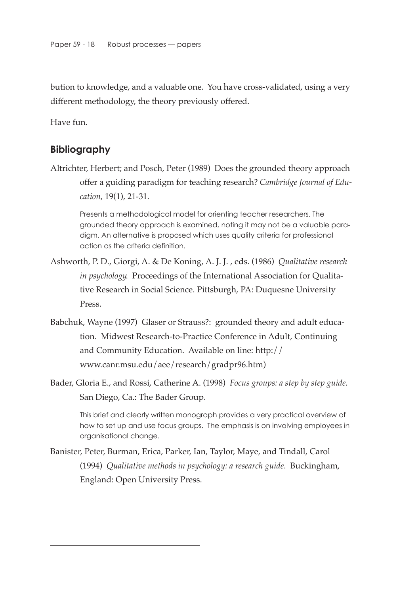bution to knowledge, and a valuable one. You have cross-validated, using a very different methodology, the theory previously offered.

Have fun.

#### **Bibliography**

Altrichter, Herbert; and Posch, Peter (1989) Does the grounded theory approach offer a guiding paradigm for teaching research? *Cambridge Journal of Education*, 19(1), 21-31.

Presents a methodological model for orienting teacher researchers. The grounded theory approach is examined, noting it may not be a valuable paradigm. An alternative is proposed which uses quality criteria for professional action as the criteria definition.

- Ashworth, P. D., Giorgi, A. & De Koning, A. J. J. , eds. (1986) *Qualitative research in psychology*. Proceedings of the International Association for Qualitative Research in Social Science. Pittsburgh, PA: Duquesne University Press.
- Babchuk, Wayne (1997) Glaser or Strauss?: grounded theory and adult education. Midwest Research-to-Practice Conference in Adult, Continuing and Community Education. Available on line: http:// www.canr.msu.edu/aee/research/gradpr96.htm)
- Bader, Gloria E., and Rossi, Catherine A. (1998) *Focus groups: a step by step guide*. San Diego, Ca.: The Bader Group.

This brief and clearly written monograph provides a very practical overview of how to set up and use focus groups. The emphasis is on involving employees in organisational change.

Banister, Peter, Burman, Erica, Parker, Ian, Taylor, Maye, and Tindall, Carol (1994) *Qualitative methods in psychology: a research guide*. Buckingham, England: Open University Press.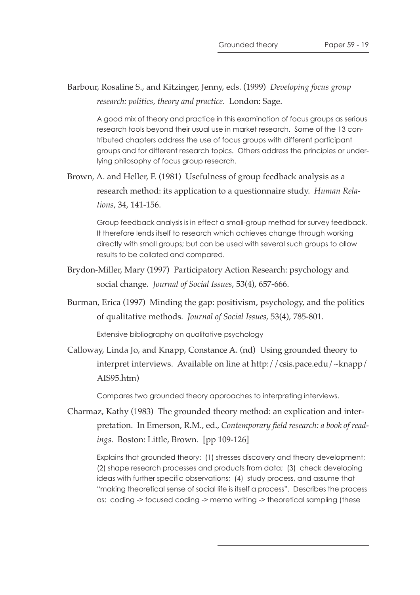#### Barbour, Rosaline S., and Kitzinger, Jenny, eds. (1999) *Developing focus group research: politics, theory and practice*. London: Sage.

A good mix of theory and practice in this examination of focus groups as serious research tools beyond their usual use in market research. Some of the 13 contributed chapters address the use of focus groups with different participant groups and for different research topics. Others address the principles or underlying philosophy of focus group research.

Brown, A. and Heller, F. (1981) Usefulness of group feedback analysis as a research method: its application to a questionnaire study. *Human Relations*, 34, 141-156.

Group feedback analysis is in effect a small-group method for survey feedback. It therefore lends itself to research which achieves change through working directly with small groups; but can be used with several such groups to allow results to be collated and compared.

- Brydon-Miller, Mary (1997) Participatory Action Research: psychology and social change. *Journal of Social Issues*, 53(4), 657-666.
- Burman, Erica (1997) Minding the gap: positivism, psychology, and the politics of qualitative methods. *Journal of Social Issues*, 53(4), 785-801.

Extensive bibliography on qualitative psychology

Calloway, Linda Jo, and Knapp, Constance A. (nd) Using grounded theory to interpret interviews. Available on line at http://csis.pace.edu/~knapp/ AIS95.htm)

Compares two grounded theory approaches to interpreting interviews.

Charmaz, Kathy (1983) The grounded theory method: an explication and interpretation. In Emerson, R.M., ed., *Contemporary field research: a book of readings*. Boston: Little, Brown. [pp 109-126]

Explains that grounded theory: (1) stresses discovery and theory development; (2) shape research processes and products from data; (3) check developing ideas with further specific observations; (4) study process, and assume that "making theoretical sense of social life is itself a process". Describes the process as: coding -> focused coding -> memo writing -> theoretical sampling (these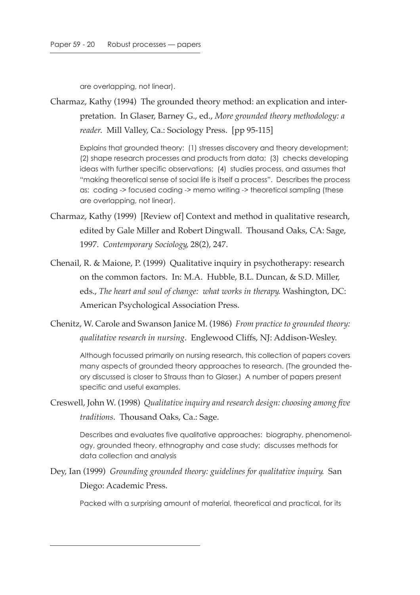are overlapping, not linear).

Charmaz, Kathy (1994) The grounded theory method: an explication and interpretation. In Glaser, Barney G., ed., *More grounded theory methodology: a reader*. Mill Valley, Ca.: Sociology Press. [pp 95-115]

Explains that grounded theory: (1) stresses discovery and theory development; (2) shape research processes and products from data; (3) checks developing ideas with further specific observations; (4) studies process, and assumes that "making theoretical sense of social life is itself a process". Describes the process as: coding -> focused coding -> memo writing -> theoretical sampling (these are overlapping, not linear).

- Charmaz, Kathy (1999) [Review of] Context and method in qualitative research, edited by Gale Miller and Robert Dingwall. Thousand Oaks, CA: Sage, 1997. *Contemporary Sociology*, 28(2), 247.
- Chenail, R. & Maione, P. (1999) Qualitative inquiry in psychotherapy: research on the common factors. In: M.A. Hubble, B.L. Duncan, & S.D. Miller, eds., *The heart and soul of change: what works in therapy*. Washington, DC: American Psychological Association Press.
- Chenitz, W. Carole and Swanson Janice M. (1986) *From practice to grounded theory: qualitative research in nursing*. Englewood Cliffs, NJ: Addison-Wesley.

Although focussed primarily on nursing research, this collection of papers covers many aspects of grounded theory approaches to research. (The grounded theory discussed is closer to Strauss than to Glaser.) A number of papers present specific and useful examples.

Creswell, John W. (1998) *Qualitative inquiry and research design: choosing among five traditions*. Thousand Oaks, Ca.: Sage.

Describes and evaluates five qualitative approaches: biography, phenomenology, grounded theory, ethnography and case study; discusses methods for data collection and analysis

Dey, Ian (1999) *Grounding grounded theory: guidelines for qualitative inquiry*. San Diego: Academic Press.

Packed with a surprising amount of material, theoretical and practical, for its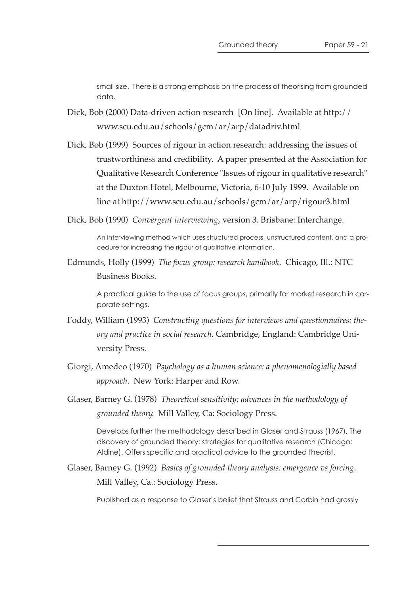small size. There is a strong emphasis on the process of theorising from grounded data.

- Dick, Bob (2000) Data-driven action research [On line]. Available at http:// www.scu.edu.au/schools/gcm/ar/arp/datadriv.html
- Dick, Bob (1999) Sources of rigour in action research: addressing the issues of trustworthiness and credibility. A paper presented at the Association for Qualitative Research Conference "Issues of rigour in qualitative research" at the Duxton Hotel, Melbourne, Victoria, 6-10 July 1999. Available on line at http://www.scu.edu.au/schools/gcm/ar/arp/rigour3.html
- Dick, Bob (1990) *Convergent interviewing*, version 3. Brisbane: Interchange.

An interviewing method which uses structured process, unstructured content, and a procedure for increasing the rigour of qualitative information.

Edmunds, Holly (1999) *The focus group: research handbook*. Chicago, Ill.: NTC Business Books.

> A practical guide to the use of focus groups, primarily for market research in corporate settings.

- Foddy, William (1993) *Constructing questions for interviews and questionnaires: theory and practice in social research*. Cambridge, England: Cambridge University Press.
- Giorgi, Amedeo (1970) *Psychology as a human science: a phenomenologially based approach*. New York: Harper and Row.
- Glaser, Barney G. (1978) *Theoretical sensitivity: advances in the methodology of grounded theory*. Mill Valley, Ca: Sociology Press.

Develops further the methodology described in Glaser and Strauss (1967), The discovery of grounded theory: strategies for qualitative research (Chicago: Aldine). Offers specific and practical advice to the grounded theorist.

Glaser, Barney G. (1992) *Basics of grounded theory analysis: emergence vs forcing*. Mill Valley, Ca.: Sociology Press.

Published as a response to Glaser's belief that Strauss and Corbin had grossly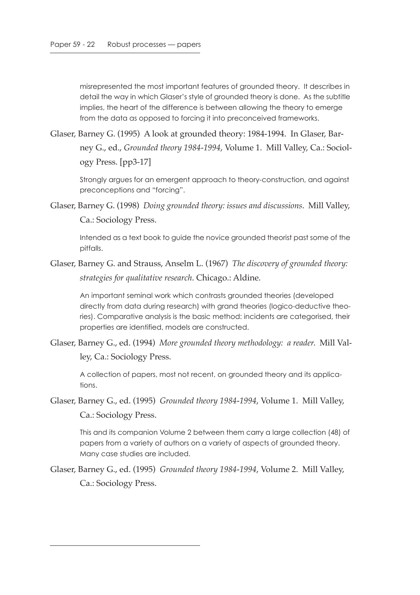misrepresented the most important features of grounded theory. It describes in detail the way in which Glaser's style of grounded theory is done. As the subtitle implies, the heart of the difference is between allowing the theory to emerge from the data as opposed to forcing it into preconceived frameworks.

Glaser, Barney G. (1995) A look at grounded theory: 1984-1994. In Glaser, Barney G., ed., *Grounded theory 1984-1994*, Volume 1. Mill Valley, Ca.: Sociology Press. [pp3-17]

Strongly argues for an emergent approach to theory-construction, and against preconceptions and "forcing".

Glaser, Barney G. (1998) *Doing grounded theory: issues and discussions*. Mill Valley, Ca.: Sociology Press.

Intended as a text book to guide the novice grounded theorist past some of the pitfalls.

Glaser, Barney G. and Strauss, Anselm L. (1967) *The discovery of grounded theory: strategies for qualitative research*. Chicago.: Aldine.

An important seminal work which contrasts grounded theories (developed directly from data during research) with grand theories (logico-deductive theories). Comparative analysis is the basic method: incidents are categorised, their properties are identified, models are constructed.

Glaser, Barney G., ed. (1994) *More grounded theory methodology: a reader*. Mill Valley, Ca.: Sociology Press.

A collection of papers, most not recent, on grounded theory and its applications.

Glaser, Barney G., ed. (1995) *Grounded theory 1984-1994*, Volume 1. Mill Valley, Ca.: Sociology Press.

This and its companion Volume 2 between them carry a large collection (48) of papers from a variety of authors on a variety of aspects of grounded theory. Many case studies are included.

Glaser, Barney G., ed. (1995) *Grounded theory 1984-1994*, Volume 2. Mill Valley, Ca.: Sociology Press.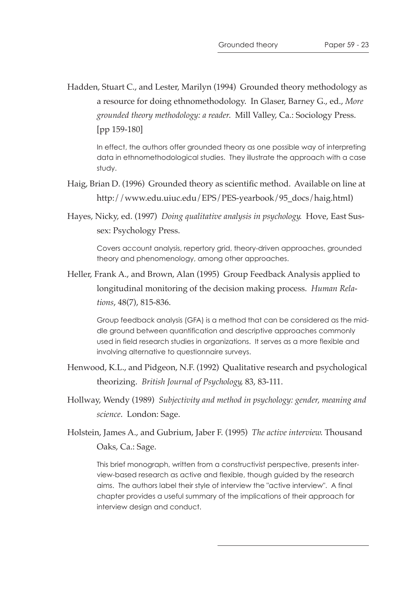Hadden, Stuart C., and Lester, Marilyn (1994) Grounded theory methodology as a resource for doing ethnomethodology. In Glaser, Barney G., ed., *More grounded theory methodology: a reader*. Mill Valley, Ca.: Sociology Press. [pp 159-180]

In effect, the authors offer grounded theory as one possible way of interpreting data in ethnomethodological studies. They illustrate the approach with a case study.

- Haig, Brian D. (1996) Grounded theory as scientific method. Available on line at http://www.edu.uiuc.edu/EPS/PES-yearbook/95\_docs/haig.html)
- Hayes, Nicky, ed. (1997) *Doing qualitative analysis in psychology*. Hove, East Sussex: Psychology Press.

Covers account analysis, repertory grid, theory-driven approaches, grounded theory and phenomenology, among other approaches.

Heller, Frank A., and Brown, Alan (1995) Group Feedback Analysis applied to longitudinal monitoring of the decision making process. *Human Relations*, 48(7), 815-836.

Group feedback analysis (GFA) is a method that can be considered as the middle ground between quantification and descriptive approaches commonly used in field research studies in organizations. It serves as a more flexible and involving alternative to questionnaire surveys.

- Henwood, K.L., and Pidgeon, N.F. (1992) Qualitative research and psychological theorizing. *British Journal of Psychology*, 83, 83-111.
- Hollway, Wendy (1989) *Subjectivity and method in psychology: gender, meaning and science*. London: Sage.

Holstein, James A., and Gubrium, Jaber F. (1995) *The active interview*. Thousand Oaks, Ca.: Sage.

This brief monograph, written from a constructivist perspective, presents interview-based research as active and flexible, though guided by the research aims. The authors label their style of interview the "active interview". A final chapter provides a useful summary of the implications of their approach for interview design and conduct.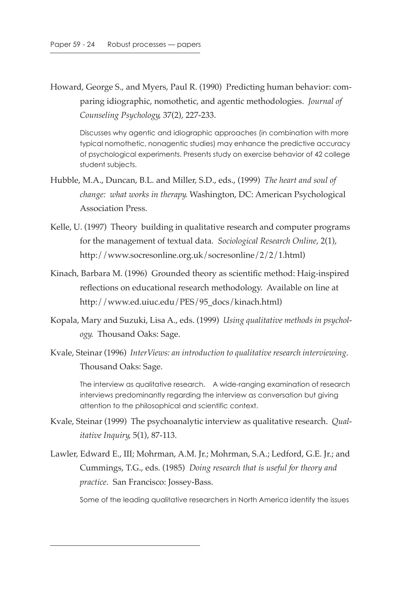Howard, George S., and Myers, Paul R. (1990) Predicting human behavior: comparing idiographic, nomothetic, and agentic methodologies. *Journal of Counseling Psychology*, 37(2), 227-233.

Discusses why agentic and idiographic approaches (in combination with more typical nomothetic, nonagentic studies) may enhance the predictive accuracy of psychological experiments. Presents study on exercise behavior of 42 college student subjects.

- Hubble, M.A., Duncan, B.L. and Miller, S.D., eds., (1999) *The heart and soul of change: what works in therapy*. Washington, DC: American Psychological Association Press.
- Kelle, U. (1997) Theory building in qualitative research and computer programs for the management of textual data. *Sociological Research Online*, 2(1), http://www.socresonline.org.uk/socresonline/2/2/1.html)
- Kinach, Barbara M. (1996) Grounded theory as scientific method: Haig-inspired reflections on educational research methodology. Available on line at http://www.ed.uiuc.edu/PES/95\_docs/kinach.html)
- Kopala, Mary and Suzuki, Lisa A., eds. (1999) *Using qualitative methods in psychology*. Thousand Oaks: Sage.
- Kvale, Steinar (1996) *InterViews: an introduction to qualitative research interviewing*. Thousand Oaks: Sage.

The interview as qualitative research. A wide-ranging examination of research interviews predominantly regarding the interview as conversation but giving attention to the philosophical and scientific context.

- Kvale, Steinar (1999) The psychoanalytic interview as qualitative research. *Qualitative Inquiry*, 5(1), 87-113.
- Lawler, Edward E., III; Mohrman, A.M. Jr.; Mohrman, S.A.; Ledford, G.E. Jr.; and Cummings, T.G., eds. (1985) *Doing research that is useful for theory and practice*. San Francisco: Jossey-Bass.

Some of the leading qualitative researchers in North America identify the issues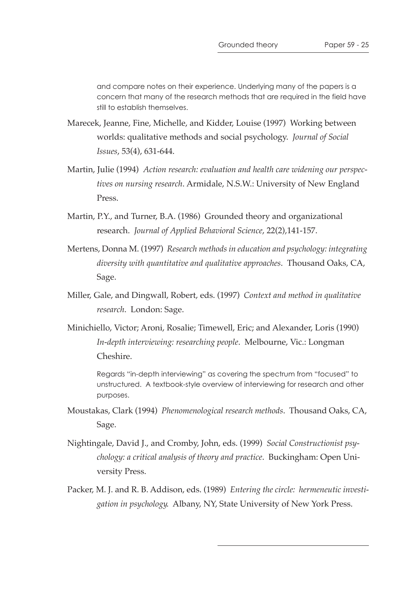and compare notes on their experience. Underlying many of the papers is a concern that many of the research methods that are required in the field have still to establish themselves.

- Marecek, Jeanne, Fine, Michelle, and Kidder, Louise (1997) Working between worlds: qualitative methods and social psychology. *Journal of Social Issues*, 53(4), 631-644.
- Martin, Julie (1994) *Action research: evaluation and health care widening our perspectives on nursing research*. Armidale, N.S.W.: University of New England Press.
- Martin, P.Y., and Turner, B.A. (1986) Grounded theory and organizational research. *Journal of Applied Behavioral Science*, 22(2),141-157.
- Mertens, Donna M. (1997) *Research methods in education and psychology: integrating diversity with quantitative and qualitative approaches*. Thousand Oaks, CA, Sage.
- Miller, Gale, and Dingwall, Robert, eds. (1997) *Context and method in qualitative research*. London: Sage.
- Minichiello, Victor; Aroni, Rosalie; Timewell, Eric; and Alexander, Loris (1990) *In-depth interviewing: researching people*. Melbourne, Vic.: Longman Cheshire.

Regards "in-depth interviewing" as covering the spectrum from "focused" to unstructured. A textbook-style overview of interviewing for research and other purposes.

- Moustakas, Clark (1994) *Phenomenological research methods*. Thousand Oaks, CA, Sage.
- Nightingale, David J., and Cromby, John, eds. (1999) *Social Constructionist psychology: a critical analysis of theory and practice*. Buckingham: Open University Press.
- Packer, M. J. and R. B. Addison, eds. (1989) *Entering the circle: hermeneutic investigation in psychology*. Albany, NY, State University of New York Press.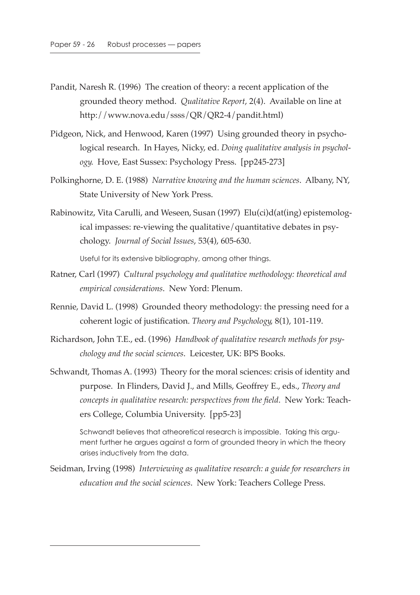- Pandit, Naresh R. (1996) The creation of theory: a recent application of the grounded theory method. *Qualitative Report*, 2(4). Available on line at http://www.nova.edu/ssss/QR/QR2-4/pandit.html)
- Pidgeon, Nick, and Henwood, Karen (1997) Using grounded theory in psychological research. In Hayes, Nicky, ed. *Doing qualitative analysis in psychology*. Hove, East Sussex: Psychology Press. [pp245-273]
- Polkinghorne, D. E. (1988) *Narrative knowing and the human sciences*. Albany, NY, State University of New York Press.
- Rabinowitz, Vita Carulli, and Weseen, Susan (1997) Elu(ci)d(at(ing) epistemological impasses: re-viewing the qualitative/quantitative debates in psychology. *Journal of Social Issues*, 53(4), 605-630.

Useful for its extensive bibliography, among other things.

- Ratner, Carl (1997) *Cultural psychology and qualitative methodology: theoretical and empirical considerations*. New Yord: Plenum.
- Rennie, David L. (1998) Grounded theory methodology: the pressing need for a coherent logic of justification. *Theory and Psychology*, 8(1), 101-119.
- Richardson, John T.E., ed. (1996) *Handbook of qualitative research methods for psychology and the social sciences*. Leicester, UK: BPS Books.
- Schwandt, Thomas A. (1993) Theory for the moral sciences: crisis of identity and purpose. In Flinders, David J., and Mills, Geoffrey E., eds., *Theory and concepts in qualitative research: perspectives from the field*. New York: Teachers College, Columbia University. [pp5-23]

Schwandt believes that atheoretical research is impossible. Taking this argument further he argues against a form of grounded theory in which the theory arises inductively from the data.

Seidman, Irving (1998) *Interviewing as qualitative research: a guide for researchers in education and the social sciences*. New York: Teachers College Press.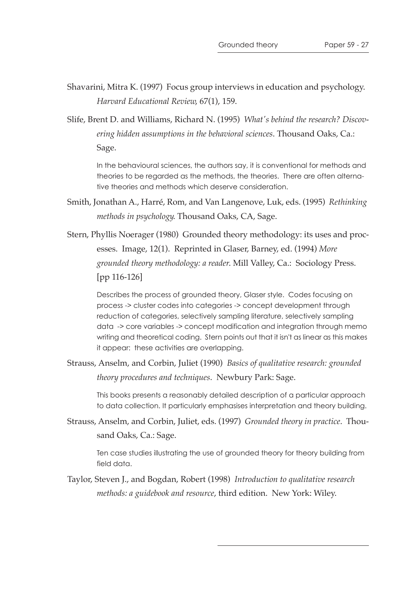Shavarini, Mitra K. (1997) Focus group interviews in education and psychology. *Harvard Educational Review*, 67(1), 159.

Slife, Brent D. and Williams, Richard N. (1995) *What's behind the research? Discovering hidden assumptions in the behavioral sciences*. Thousand Oaks, Ca.: Sage.

In the behavioural sciences, the authors say, it is conventional for methods and theories to be regarded as the methods, the theories. There are often alternative theories and methods which deserve consideration.

Smith, Jonathan A., Harré, Rom, and Van Langenove, Luk, eds. (1995) *Rethinking methods in psychology*. Thousand Oaks, CA, Sage.

Stern, Phyllis Noerager (1980) Grounded theory methodology: its uses and processes. Image, 12(1). Reprinted in Glaser, Barney, ed. (1994) *More grounded theory methodology: a reader*. Mill Valley, Ca.: Sociology Press. [pp 116-126]

Describes the process of grounded theory, Glaser style. Codes focusing on process -> cluster codes into categories -> concept development through reduction of categories, selectively sampling literature, selectively sampling data -> core variables -> concept modification and integration through memo writing and theoretical coding. Stern points out that it isn't as linear as this makes it appear: these activities are overlapping.

Strauss, Anselm, and Corbin, Juliet (1990) *Basics of qualitative research: grounded theory procedures and techniques*. Newbury Park: Sage.

This books presents a reasonably detailed description of a particular approach to data collection. It particularly emphasises interpretation and theory building.

Strauss, Anselm, and Corbin, Juliet, eds. (1997) *Grounded theory in practice*. Thousand Oaks, Ca.: Sage.

Ten case studies illustrating the use of grounded theory for theory building from field data.

Taylor, Steven J., and Bogdan, Robert (1998) *Introduction to qualitative research methods: a guidebook and resource*, third edition. New York: Wiley.